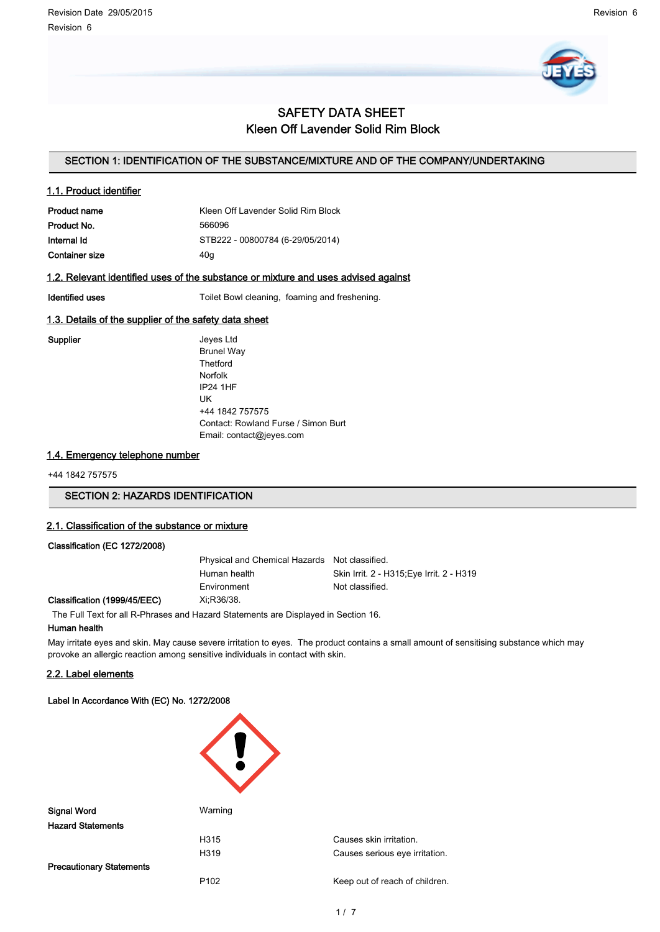

# SAFETY DATA SHEET Kleen Off Lavender Solid Rim Block

# SECTION 1: IDENTIFICATION OF THE SUBSTANCE/MIXTURE AND OF THE COMPANY/UNDERTAKING

## 1.1. Product identifier

| <b>Product name</b> | Kleen Off Lavender Solid Rim Block |
|---------------------|------------------------------------|
| Product No.         | 566096                             |
| Internal Id         | STB222 - 00800784 (6-29/05/2014)   |
| Container size      | 40a                                |

## 1.2. Relevant identified uses of the substance or mixture and uses advised against

Identified uses Toilet Bowl cleaning, foaming and freshening.

## 1.3. Details of the supplier of the safety data sheet

Supplier **Supplier** Jeyes Ltd Brunel Way **Thetford** Norfolk IP24 1HF UK +44 1842 757575 Contact: Rowland Furse / Simon Burt Email: contact@jeyes.com

# 1.4. Emergency telephone number

+44 1842 757575

# SECTION 2: HAZARDS IDENTIFICATION

## 2.1. Classification of the substance or mixture

## Classification (EC 1272/2008)

Physical and Chemical Hazards Not classified. Human health Skin Irrit. 2 - H315;Eye Irrit. 2 - H319 Environment Not classified.

#### Classification (1999/45/EEC) Xi;R36/38.

The Full Text for all R-Phrases and Hazard Statements are Displayed in Section 16.

# Human health

May irritate eyes and skin. May cause severe irritation to eyes. The product contains a small amount of sensitising substance which may provoke an allergic reaction among sensitive individuals in contact with skin.

# 2.2. Label elements

## Label In Accordance With (EC) No. 1272/2008

| <b>Signal Word</b>              | Warning          |                                |  |
|---------------------------------|------------------|--------------------------------|--|
| <b>Hazard Statements</b>        |                  |                                |  |
|                                 | H315             | Causes skin irritation.        |  |
|                                 | H319             | Causes serious eye irritation. |  |
| <b>Precautionary Statements</b> |                  |                                |  |
|                                 | P <sub>102</sub> | Keep out of reach of children. |  |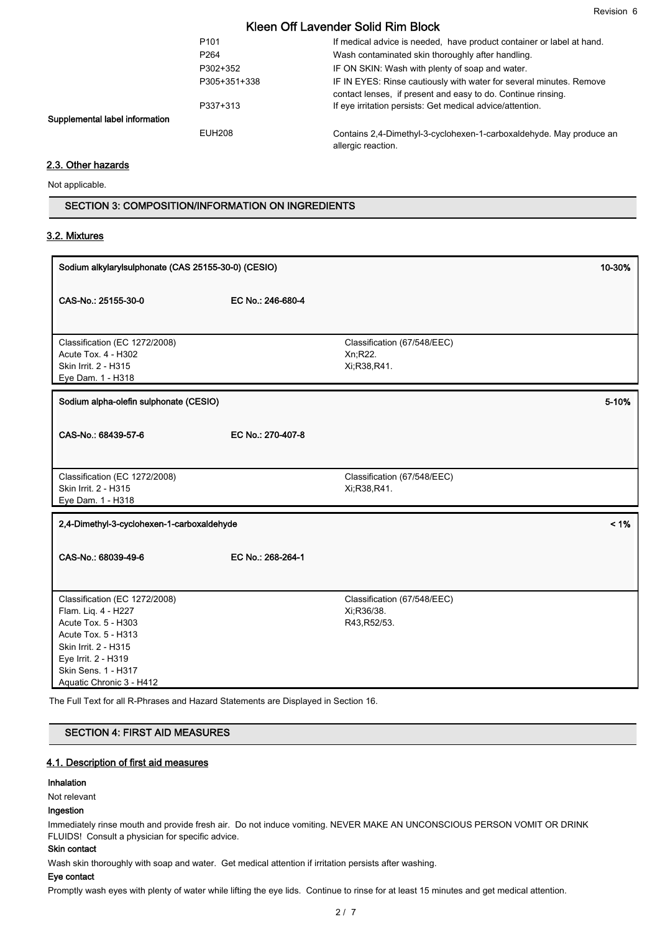|                  | NGCI VIL LAVCINGI JUIU NIII DIUUN                                                                                                   |
|------------------|-------------------------------------------------------------------------------------------------------------------------------------|
| P <sub>101</sub> | If medical advice is needed, have product container or label at hand.                                                               |
| P <sub>264</sub> | Wash contaminated skin thoroughly after handling.                                                                                   |
| P302+352         | IF ON SKIN: Wash with plenty of soap and water.                                                                                     |
| P305+351+338     | IF IN EYES: Rinse cautiously with water for several minutes. Remove<br>contact lenses, if present and easy to do. Continue rinsing. |
| P337+313         | If eye irritation persists: Get medical advice/attention.                                                                           |
| <b>EUH208</b>    | Contains 2,4-Dimethyl-3-cyclohexen-1-carboxaldehyde. May produce an<br>allergic reaction.                                           |

# 2.3. Other hazards

Supplemental label information

Not applicable.

SECTION 3: COMPOSITION/INFORMATION ON INGREDIENTS

### 3.2. Mixtures

| Sodium alkylarylsulphonate (CAS 25155-30-0) (CESIO)                                                                                                                                                  |                   | 10-30%                                                     |         |
|------------------------------------------------------------------------------------------------------------------------------------------------------------------------------------------------------|-------------------|------------------------------------------------------------|---------|
| CAS-No.: 25155-30-0                                                                                                                                                                                  | EC No.: 246-680-4 |                                                            |         |
| Classification (EC 1272/2008)<br>Acute Tox. 4 - H302<br>Skin Irrit. 2 - H315<br>Eye Dam. 1 - H318                                                                                                    |                   | Classification (67/548/EEC)<br>Xn;R22.<br>Xi;R38,R41.      |         |
| Sodium alpha-olefin sulphonate (CESIO)                                                                                                                                                               |                   |                                                            | 5-10%   |
| CAS-No.: 68439-57-6                                                                                                                                                                                  | EC No.: 270-407-8 |                                                            |         |
| Classification (EC 1272/2008)<br>Skin Irrit. 2 - H315<br>Eye Dam. 1 - H318                                                                                                                           |                   | Classification (67/548/EEC)<br>Xi;R38,R41.                 |         |
| 2,4-Dimethyl-3-cyclohexen-1-carboxaldehyde                                                                                                                                                           |                   |                                                            | $< 1\%$ |
| CAS-No.: 68039-49-6                                                                                                                                                                                  | EC No.: 268-264-1 |                                                            |         |
| Classification (EC 1272/2008)<br>Flam. Liq. 4 - H227<br>Acute Tox. 5 - H303<br>Acute Tox. 5 - H313<br>Skin Irrit. 2 - H315<br>Eye Irrit. 2 - H319<br>Skin Sens. 1 - H317<br>Aquatic Chronic 3 - H412 |                   | Classification (67/548/EEC)<br>Xi; R36/38.<br>R43, R52/53. |         |

SECTION 4: FIRST AID MEASURES

# 4.1. Description of first aid measures

#### Inhalation

# Not relevant

# Ingestion

Immediately rinse mouth and provide fresh air. Do not induce vomiting. NEVER MAKE AN UNCONSCIOUS PERSON VOMIT OR DRINK FLUIDS! Consult a physician for specific advice.

## Skin contact

Wash skin thoroughly with soap and water. Get medical attention if irritation persists after washing.

# Eye contact

Promptly wash eyes with plenty of water while lifting the eye lids. Continue to rinse for at least 15 minutes and get medical attention.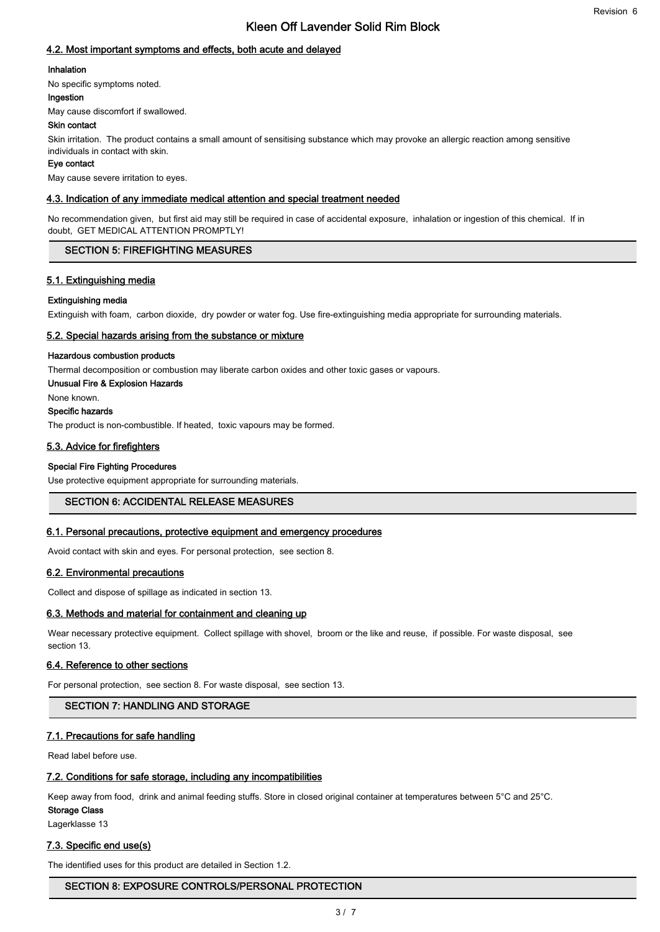# 4.2. Most important symptoms and effects, both acute and delayed

#### Inhalation

No specific symptoms noted.

#### Ingestion

May cause discomfort if swallowed.

#### Skin contact

Skin irritation. The product contains a small amount of sensitising substance which may provoke an allergic reaction among sensitive individuals in contact with skin.

#### Eye contact

May cause severe irritation to eyes.

## 4.3. Indication of any immediate medical attention and special treatment needed

No recommendation given, but first aid may still be required in case of accidental exposure, inhalation or ingestion of this chemical. If in doubt, GET MEDICAL ATTENTION PROMPTLY!

## SECTION 5: FIREFIGHTING MEASURES

# 5.1. Extinguishing media

#### Extinguishing media

Extinguish with foam, carbon dioxide, dry powder or water fog. Use fire-extinguishing media appropriate for surrounding materials.

#### 5.2. Special hazards arising from the substance or mixture

#### Hazardous combustion products

Thermal decomposition or combustion may liberate carbon oxides and other toxic gases or vapours.

Unusual Fire & Explosion Hazards

None known.

# Specific hazards

The product is non-combustible. If heated, toxic vapours may be formed.

## 5.3. Advice for firefighters

#### Special Fire Fighting Procedures

Use protective equipment appropriate for surrounding materials.

# SECTION 6: ACCIDENTAL RELEASE MEASURES

## 6.1. Personal precautions, protective equipment and emergency procedures

Avoid contact with skin and eyes. For personal protection, see section 8.

## 6.2. Environmental precautions

Collect and dispose of spillage as indicated in section 13.

#### 6.3. Methods and material for containment and cleaning up

Wear necessary protective equipment. Collect spillage with shovel, broom or the like and reuse, if possible. For waste disposal, see section 13.

## 6.4. Reference to other sections

For personal protection, see section 8. For waste disposal, see section 13.

## SECTION 7: HANDLING AND STORAGE

## 7.1. Precautions for safe handling

Read label before use.

## 7.2. Conditions for safe storage, including any incompatibilities

Keep away from food, drink and animal feeding stuffs. Store in closed original container at temperatures between 5°C and 25°C.

#### Storage Class

Lagerklasse 13

## 7.3. Specific end use(s)

The identified uses for this product are detailed in Section 1.2.

## SECTION 8: EXPOSURE CONTROLS/PERSONAL PROTECTION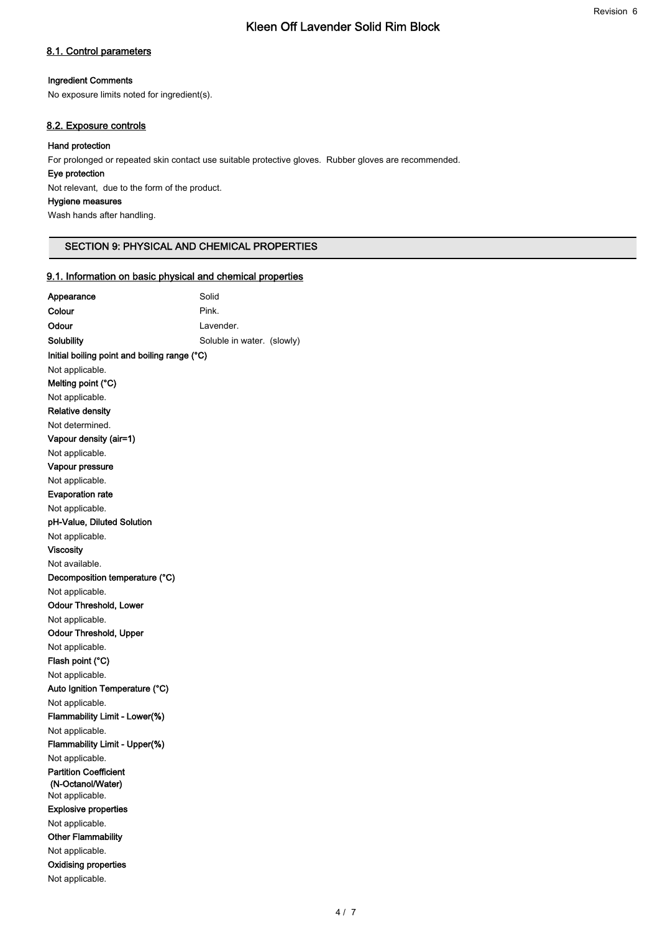# 8.1. Control parameters

#### Ingredient Comments

No exposure limits noted for ingredient(s).

# 8.2. Exposure controls

## Hand protection

For prolonged or repeated skin contact use suitable protective gloves. Rubber gloves are recommended.

## Eye protection

Not relevant, due to the form of the product.

## Hygiene measures

Wash hands after handling.

## SECTION 9: PHYSICAL AND CHEMICAL PROPERTIES

## 9.1. Information on basic physical and chemical properties

| Appearance                                     | Solid                      |  |
|------------------------------------------------|----------------------------|--|
| Colour                                         | Pink.                      |  |
| Odour                                          | Lavender.                  |  |
| Solubility                                     | Soluble in water. (slowly) |  |
| Initial boiling point and boiling range (°C)   |                            |  |
| Not applicable.                                |                            |  |
| Melting point (°C)                             |                            |  |
| Not applicable.                                |                            |  |
| <b>Relative density</b>                        |                            |  |
| Not determined.                                |                            |  |
| Vapour density (air=1)                         |                            |  |
| Not applicable.                                |                            |  |
| Vapour pressure                                |                            |  |
| Not applicable.                                |                            |  |
| <b>Evaporation rate</b>                        |                            |  |
| Not applicable.                                |                            |  |
| pH-Value, Diluted Solution                     |                            |  |
| Not applicable.                                |                            |  |
| <b>Viscosity</b>                               |                            |  |
| Not available.                                 |                            |  |
| Decomposition temperature (°C)                 |                            |  |
| Not applicable.                                |                            |  |
| Odour Threshold, Lower                         |                            |  |
| Not applicable.                                |                            |  |
| Odour Threshold, Upper                         |                            |  |
| Not applicable.                                |                            |  |
| Flash point (°C)                               |                            |  |
| Not applicable.                                |                            |  |
| Auto Ignition Temperature (°C)                 |                            |  |
| Not applicable.                                |                            |  |
| Flammability Limit - Lower(%)                  |                            |  |
| Not applicable.                                |                            |  |
| Flammability Limit - Upper(%)                  |                            |  |
| Not applicable.                                |                            |  |
| <b>Partition Coefficient</b>                   |                            |  |
| (N-Octanol/Water)                              |                            |  |
| Not applicable.<br><b>Explosive properties</b> |                            |  |
| Not applicable.                                |                            |  |
| <b>Other Flammability</b>                      |                            |  |
| Not applicable.                                |                            |  |
| <b>Oxidising properties</b>                    |                            |  |
| Not applicable.                                |                            |  |
|                                                |                            |  |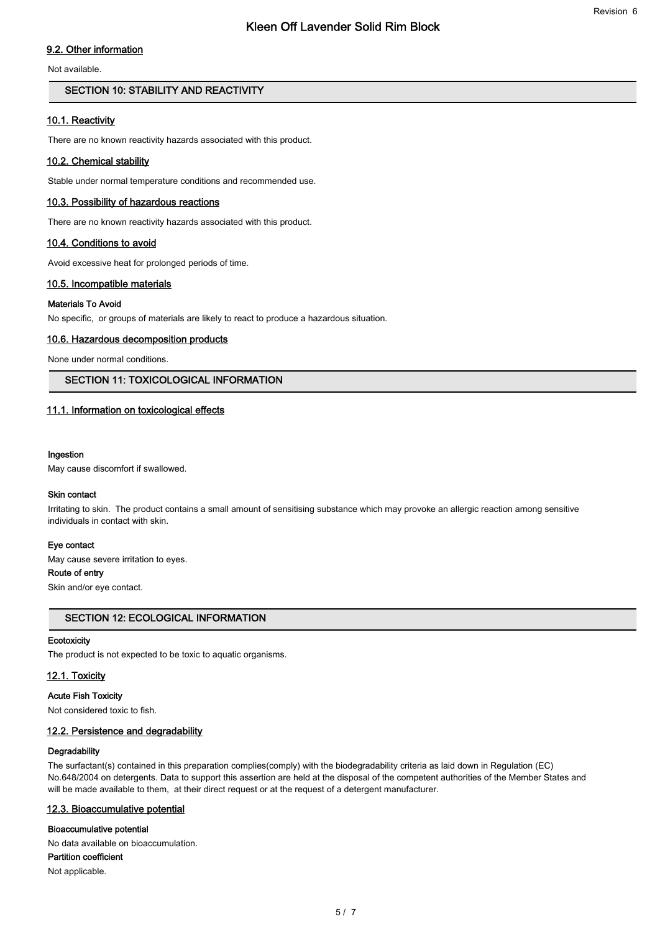# 9.2. Other information

Not available.

# SECTION 10: STABILITY AND REACTIVITY

## 10.1. Reactivity

There are no known reactivity hazards associated with this product.

## 10.2. Chemical stability

Stable under normal temperature conditions and recommended use.

## 10.3. Possibility of hazardous reactions

There are no known reactivity hazards associated with this product.

## 10.4. Conditions to avoid

Avoid excessive heat for prolonged periods of time.

## 10.5. Incompatible materials

## Materials To Avoid

No specific, or groups of materials are likely to react to produce a hazardous situation.

## 10.6. Hazardous decomposition products

None under normal conditions.

# SECTION 11: TOXICOLOGICAL INFORMATION

## 11.1. Information on toxicological effects

#### Ingestion

May cause discomfort if swallowed.

#### Skin contact

Irritating to skin. The product contains a small amount of sensitising substance which may provoke an allergic reaction among sensitive individuals in contact with skin.

#### Eye contact

May cause severe irritation to eyes.

# Route of entry

Skin and/or eye contact.

# SECTION 12: ECOLOGICAL INFORMATION

#### **Ecotoxicity**

The product is not expected to be toxic to aquatic organisms.

# 12.1. Toxicity

# Acute Fish Toxicity

Not considered toxic to fish.

# 12.2. Persistence and degradability

# **Degradability**

The surfactant(s) contained in this preparation complies(comply) with the biodegradability criteria as laid down in Regulation (EC) No.648/2004 on detergents. Data to support this assertion are held at the disposal of the competent authorities of the Member States and will be made available to them, at their direct request or at the request of a detergent manufacturer.

# 12.3. Bioaccumulative potential

# Bioaccumulative potential

No data available on bioaccumulation. Partition coefficient

Not applicable.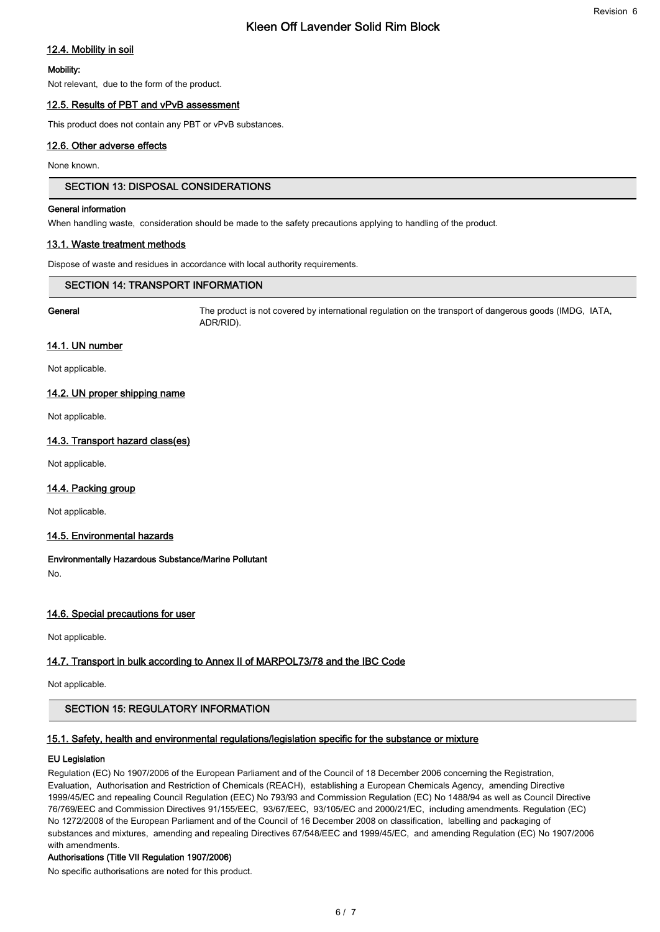# 12.4. Mobility in soil

## Mobility:

Not relevant, due to the form of the product.

# 12.5. Results of PBT and vPvB assessment

This product does not contain any PBT or vPvB substances.

# 12.6. Other adverse effects

None known.

# SECTION 13: DISPOSAL CONSIDERATIONS

## General information

When handling waste, consideration should be made to the safety precautions applying to handling of the product.

## 13.1. Waste treatment methods

Dispose of waste and residues in accordance with local authority requirements.

# SECTION 14: TRANSPORT INFORMATION

General The product is not covered by international regulation on the transport of dangerous goods (IMDG, IATA, ADR/RID).

Revision 6

## 14.1. UN number

Not applicable.

# 14.2. UN proper shipping name

Not applicable.

## 14.3. Transport hazard class(es)

Not applicable.

# 14.4. Packing group

Not applicable.

## 14.5. Environmental hazards

# Environmentally Hazardous Substance/Marine Pollutant

No.

# 14.6. Special precautions for user

Not applicable.

# 14.7. Transport in bulk according to Annex II of MARPOL73/78 and the IBC Code

Not applicable.

# SECTION 15: REGULATORY INFORMATION

## 15.1. Safety, health and environmental regulations/legislation specific for the substance or mixture

# EU Legislation

Regulation (EC) No 1907/2006 of the European Parliament and of the Council of 18 December 2006 concerning the Registration, Evaluation, Authorisation and Restriction of Chemicals (REACH), establishing a European Chemicals Agency, amending Directive 1999/45/EC and repealing Council Regulation (EEC) No 793/93 and Commission Regulation (EC) No 1488/94 as well as Council Directive 76/769/EEC and Commission Directives 91/155/EEC, 93/67/EEC, 93/105/EC and 2000/21/EC, including amendments. Regulation (EC) No 1272/2008 of the European Parliament and of the Council of 16 December 2008 on classification, labelling and packaging of substances and mixtures, amending and repealing Directives 67/548/EEC and 1999/45/EC, and amending Regulation (EC) No 1907/2006 with amendments.

## Authorisations (Title VII Regulation 1907/2006)

No specific authorisations are noted for this product.